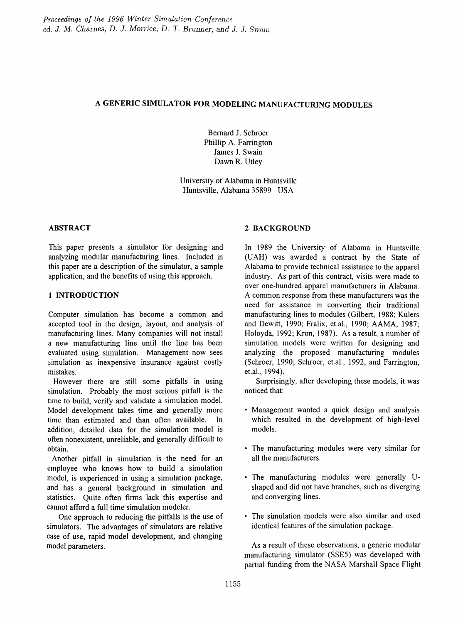# A GENERIC SIMULATOR FOR MODELING MANUFACTURING MODULES

Bernard J. Schroer Phillip A. Farrington James J. Swain Dawn R. Utley

University of Alabama in Huntsville Huntsville, Alabama 35899 USA

This paper presents a simulator for designing and analyzing modular manufacturing lines. Included in this paper are a description of the simulator, a sample application, and the benefits of using this approach.

## 1 INTRODUCTION

Computer simulation has become a common and accepted tool in the design, layout, and analysis of manufacturing lines. Many companies will not install a new manufacturing line until the line has been evaluated using simulation. Management now sees simulation as inexpensive insurance against costly mistakes.

However there are still some pitfalls in using simulation. Probably the most serious pitfall is the time to build, verify and validate a simulation model. Model development takes time and generally more time than estimated and than often available. In addition, detailed data for the simulation model is often nonexistent, unreliable, and generally difficult to obtain.

Another pitfall in simulation is the need for an employee who knows how to build a simulation model, is experienced in using a simulation package, and has a general background in simulation and statistics. Quite often frrms lack this expertise and cannot afford a full time simulation modeler.

One approach to reducing the pitfalls is the use of simulators. The advantages of simulators are relative ease of use, rapid model development, and changing model parameters.

# ABSTRACT 2 BACKGROUND

In 1989 the University of Alabama in Huntsville (UAH) was awarded a contract by the State of Alabama to provide technical assistance to the apparel industry. As part of this contract, visits were made to over one-hundred apparel manufacturers in Alabama. A common response from these manufacturers was the need for assistance in converting their traditional manufacturing lines to modules (Gilbert, 1988; Kulers and Dewitt, 1990; Fralix, et.al., 1990; AAMA, 1987; Holoyda, 1992; Kron, 1987). As a result, a number of simulation models were written for designing and analyzing the proposed manufacturing modules (Schroer, 1990; Schroer, et.al., 1992, and Farrington, et.al., 1994).

Surprisingly, after developing these models, it was noticed that:

- Management wanted a quick design and analysis which resulted in the development of high-level models.
- The manufacturing modules were very similar for all the manufacturers.
- The manufacturing modules were generally Ushaped and did not have branches, such as diverging and converging lines.
- The simulation models were also similar and used identical features of the simulation package.

As a result of these observations, a generic modular manufacturing simulator (SSE5) was developed with partial funding from the NASA Marshall Space Flight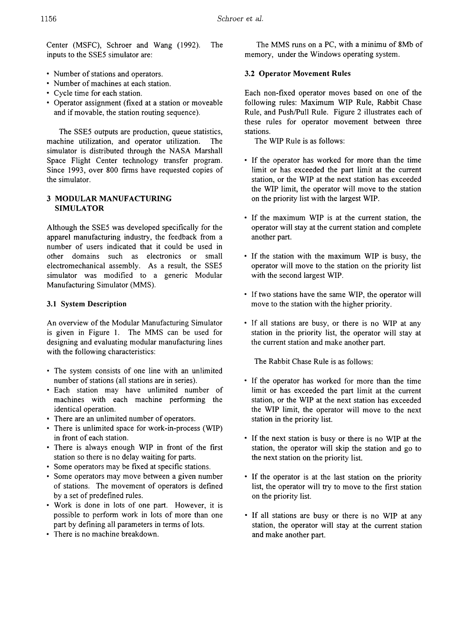Center (MSFC), Schroer and Wang (1992). The inputs to the SSE5 simulator are:

- Number of stations and operators.
- Number of machines at each station.
- Cycle time for each station.
- Operator assignment (fixed at a station or moveable and if movable, the station routing sequence).

The SSE5 outputs are production, queue statistics, machine utilization, and operator utilization. The simulator is distributed through the NASA Marshall Space Flight Center technology transfer program. Since 1993, over 800 frrms have requested copies of the simulator.

# 3 MODULAR MANUFACTURING SIMULATOR

Although the SSE5 was developed specifically for the apparel manufacturing industry, the feedback from a number of users indicated that it could be used in other domains such as electronics or small electromechanical assembly. As a result, the SSE5 simulator was modified to a generic Modular Manufacturing Simulator (MMS).

#### 3.1 System Description

An overview of the Modular Manufacturing Simulator is given in Figure 1. The MMS can be used for designing and evaluating modular manufacturing lines with the following characteristics:

- The system consists of one line with an unlimited number of stations (all stations are in series).
- Each station may have unlimited number of machines with each machine performing the identical operation.
- There are an unlimited number of operators.
- There is unlimited space for work-in-process (WIP) in front of each station.
- There is always enough WIP in front of the first station so there is no delay waiting for parts.
- Some operators may be fixed at specific stations.
- Some operators may move between a given number of stations. The movement of operators is defmed by a set of predefined rules.
- Work is done in lots of one part. However, it is possible to perform work in lots of more than one part by defining all parameters in terms of lots.
- There is no machine breakdown.

The MMS runs on a PC, with a minimu of 8Mb of memory, under the Windows operating system.

#### 3.2 Operator Movement Rules

Each non-fixed operator moves based on one of the following rules: Maximum WIP Rule, Rabbit Chase Rule, and Push/Pull Rule. Figure 2 illustrates each of these rules for operator movement between three stations.

The WIP Rule is as follows:

- If the operator has worked for more than the time limit or has exceeded the part limit at the current station, or the WIP at the next station has exceeded the WIP limit, the operator will move to the station on the priority list with the largest WIP.
- If the maximum WIP is at the current station, the operator will stay at the current station and complete another part.
- If the station with the maximum WIP is busy, the operator will move to the station on the priority list with the second largest WIP.
- If two stations have the same WIP, the operator will move to the station with the higher priority.
- If all stations are busy, or there is no WIP at any station in the priority list, the operator will stay at the current station and make another part.

The Rabbit Chase Rule is as follows:

- If the operator has worked for more than the time limit or has exceeded the part limit at the current station, or the WIP at the next station has exceeded the WIP limit, the operator will move to the next station in the priority list.
- If the next station is busy or there is no WIP at the station, the operator will skip the station and go to the next station on the priority list.
- If the operator is at the last station on the priority list, the operator will try to move to the first station on the priority list.
- If all stations are busy or there is no WIP at any station, the operator will stay at the current station and make another part.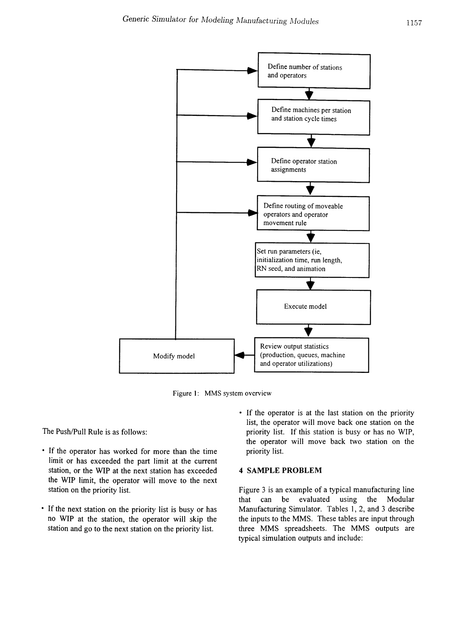

Figure 1: MMS system overview

The Push/Pull Rule is as follows:

- If the operator has worked for more than the time limit or has exceeded the part limit at the current station, or the WIP at the next station has exceeded the WIP limit, the operator will move to the next station on the priority list.
- If the next station on the priority list is busy or has no WIP at the station, the operator will skip the station and go to the next station on the priority list.
- If the operator is at the last station on the priority list, the operator will move back one station on the priority list. If this station is busy or has no WIP, the operator will move back two station on the priority list.

#### 4 SAMPLE PROBLEM

Figure 3 is an example of a typical manufacturing line that can be evaluated using the Modular Manufacturing Simulator. Tables 1, 2, and 3 describe the inputs to the MMS. These tables are input through three MMS spreadsheets. The MMS outputs are typical simulation outputs and include: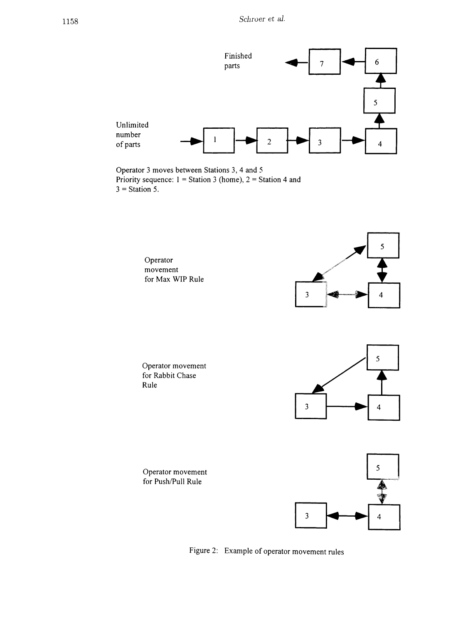

Operator 3 moves between Stations 3, 4 and 5 Priority sequence:  $1 =$  Station 3 (home),  $2 =$  Station 4 and  $3 =$  Station 5.

> Operator movement for Max WIP Rule



Operator movement for Rabbit Chase Rule



Operator movement for Push/Pull Rule



Figure 2: Example of operator movement rules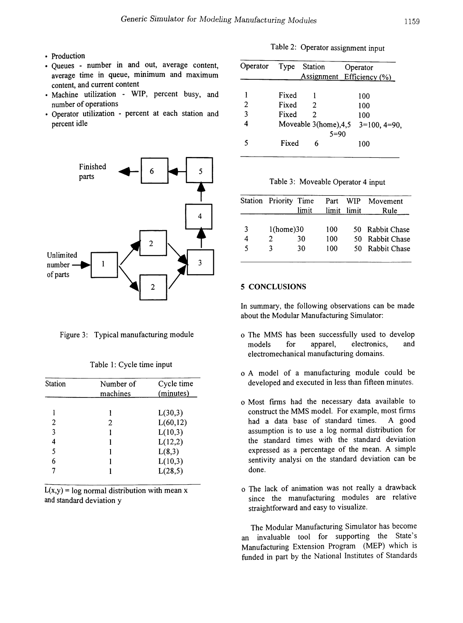- Production
- Queues number in and out, average content, average time in queue, minimum and maximum content, and current content
- Machine utilization WIP, percent busy, and number of operations
- Operator utilization percent at each station and percent idle





|  | Table 1: Cycle time input |  |
|--|---------------------------|--|
|  |                           |  |

| <b>Station</b> | Number of | Cycle time |  |
|----------------|-----------|------------|--|
|                | machines  | (minutes)  |  |
|                |           | L(30,3)    |  |
| 2              | 2         | L(60, 12)  |  |
| 3              |           | L(10,3)    |  |
| 4              |           | L(12,2)    |  |
| 5              |           | L(8,3)     |  |
| 6              |           | L(10,3)    |  |
|                |           | L(28,5)    |  |

 $L(x,y) = log normal distribution with mean x$ and standard deviation y

|  | Table 2: Operator assignment input |  |
|--|------------------------------------|--|
|  |                                    |  |

| Operator | Type  | <b>Station</b> | Operator                             |
|----------|-------|----------------|--------------------------------------|
|          |       |                | <b>Assignment</b> Efficiency (%)     |
|          |       |                |                                      |
|          | Fixed |                | 100                                  |
| 2        | Fixed | 2              | 100                                  |
| 3        | Fixed | 2              | 100                                  |
|          |       |                | Moveable 3(home), $4,5$ 3=100, 4=90, |
|          |       | $5=90$         |                                      |
|          | Fixed | 6              | 100                                  |

Table 3: Moveable Operator 4 input

|   | Station Priority Time |       | Part WIP |             | Movement        |
|---|-----------------------|-------|----------|-------------|-----------------|
|   |                       | limit |          | limit limit | Rule            |
|   |                       |       |          |             |                 |
| 3 | 1(home)30             |       | 100      | 50.         | Rabbit Chase    |
| 4 | 2                     | 30    | 100      |             | 50 Rabbit Chase |
| 5 | 3                     | 30    | 100      |             | 50 Rabbit Chase |

#### 5 CONCLUSIONS

In summary, the following observations can be made about the Modular Manufacturing Simulator:

- Figure 3: Typical manufacturing module o The MMS has been successfully used to develop models for apparel, electronics, and electromechanical manufacturing domains.
	- o A model of a manufacturing module could be developed and executed in less than fifteen minutes.
	- o Most frrms had the necessary data available to construct the MMS model. For example, most firms had a data base of standard times. A good assumption is to use a log normal distribution for the standard times with the standard deviation expressed as a percentage of the mean. A simple sentivity analysi on the standard deviation can be done.
	- o The lack of animation was not really a drawback since the manufacturing modules are relative straightforward and easy to visualize.

The Modular Manufacturing Simulator has become an invaluable tool for supporting the State's Manufacturing Extension Program (MEP) which is funded in part by the National Institutes of Standards